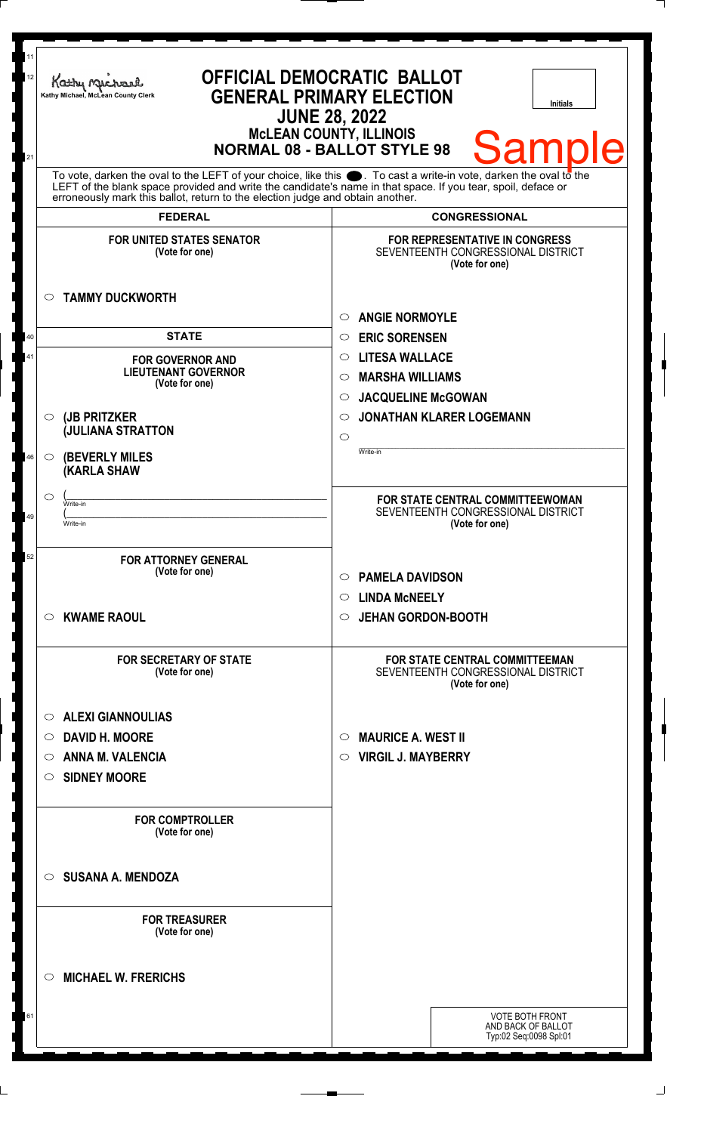| 11<br>12<br>21 | Kathy Michael<br>Kathy Michael, McLean County Clerk                                                                                                                                                                                                                                                                    | <b>OFFICIAL DEMOCRATIC BALLOT</b><br><b>GENERAL PRIMARY ELECTION</b><br><b>Initials</b><br><b>JUNE 28, 2022</b><br><b>McLEAN COUNTY, ILLINOIS</b><br><b>Samp</b><br><b>NORMAL 08 - BALLOT STYLE 98</b> |
|----------------|------------------------------------------------------------------------------------------------------------------------------------------------------------------------------------------------------------------------------------------------------------------------------------------------------------------------|--------------------------------------------------------------------------------------------------------------------------------------------------------------------------------------------------------|
|                | To vote, darken the oval to the LEFT of your choice, like this $\bullet$ . To cast a write-in vote, darken the oval to the LEFT of the blank space provided and write the candidate's name in that space. If you tear, spoil, deface<br>erroneously mark this ballot, return to the election judge and obtain another. |                                                                                                                                                                                                        |
|                | <b>FEDERAL</b>                                                                                                                                                                                                                                                                                                         | <b>CONGRESSIONAL</b>                                                                                                                                                                                   |
|                | <b>FOR UNITED STATES SENATOR</b><br>(Vote for one)                                                                                                                                                                                                                                                                     | <b>FOR REPRESENTATIVE IN CONGRESS</b><br>SEVENTEENTH CONGRESSIONAL DISTRICT<br>(Vote for one)                                                                                                          |
| 40             | <b>TAMMY DUCKWORTH</b><br>$\circ$<br><b>STATE</b>                                                                                                                                                                                                                                                                      | <b>ANGIE NORMOYLE</b><br>$\circ$<br><b>ERIC SORENSEN</b><br>$\circ$                                                                                                                                    |
| 41             | <b>FOR GOVERNOR AND</b><br><b>LIEUTENANT GOVERNOR</b><br>(Vote for one)                                                                                                                                                                                                                                                | <b>LITESA WALLACE</b><br>$\circ$<br><b>MARSHA WILLIAMS</b><br>$\circ$<br><b>JACQUELINE McGOWAN</b><br>$\circ$                                                                                          |
|                | (JB PRITZKER<br>$\circ$<br><b>JULIANA STRATTON</b>                                                                                                                                                                                                                                                                     | <b>JONATHAN KLARER LOGEMANN</b><br>$\circ$<br>$\circ$<br>Write-in                                                                                                                                      |
| 46             | <b>(BEVERLY MILES)</b><br>$\circ$<br><b>(KARLA SHAW</b><br>$\circ$                                                                                                                                                                                                                                                     |                                                                                                                                                                                                        |
| 49             | Write-in<br>Write-in                                                                                                                                                                                                                                                                                                   | FOR STATE CENTRAL COMMITTEEWOMAN<br>SEVENTEENTH CONGRESSIONAL DISTRICT<br>(Vote for one)                                                                                                               |
| 52             | <b>FOR ATTORNEY GENERAL</b><br>(Vote for one)                                                                                                                                                                                                                                                                          | <b>PAMELA DAVIDSON</b><br>$\circ$<br>$\circ$ LINDA McNEELY                                                                                                                                             |
|                | <b>KWAME RAOUL</b><br>$\circ$                                                                                                                                                                                                                                                                                          | <b>JEHAN GORDON-BOOTH</b><br>$\circ$                                                                                                                                                                   |
|                | <b>FOR SECRETARY OF STATE</b><br>(Vote for one)                                                                                                                                                                                                                                                                        | FOR STATE CENTRAL COMMITTEEMAN<br>SEVENTEENTH CONGRESSIONAL DISTRICT<br>(Vote for one)                                                                                                                 |
|                | <b>ALEXI GIANNOULIAS</b><br>$\circ$                                                                                                                                                                                                                                                                                    |                                                                                                                                                                                                        |
|                | <b>DAVID H. MOORE</b><br>$\circ$                                                                                                                                                                                                                                                                                       | <b>MAURICE A. WEST II</b><br>$\circ$                                                                                                                                                                   |
|                | <b>ANNA M. VALENCIA</b><br>$\bigcirc$<br><b>SIDNEY MOORE</b><br>$\circ$                                                                                                                                                                                                                                                | <b>VIRGIL J. MAYBERRY</b><br>O                                                                                                                                                                         |
|                | <b>FOR COMPTROLLER</b><br>(Vote for one)                                                                                                                                                                                                                                                                               |                                                                                                                                                                                                        |
|                | <b>SUSANA A. MENDOZA</b><br>$\circ$                                                                                                                                                                                                                                                                                    |                                                                                                                                                                                                        |
|                | <b>FOR TREASURER</b><br>(Vote for one)                                                                                                                                                                                                                                                                                 |                                                                                                                                                                                                        |
|                | <b>MICHAEL W. FRERICHS</b><br>$\circ$                                                                                                                                                                                                                                                                                  |                                                                                                                                                                                                        |
| 61             |                                                                                                                                                                                                                                                                                                                        | <b>VOTE BOTH FRONT</b><br>AND BACK OF BALLOT<br>Typ:02 Seq:0098 Spl:01                                                                                                                                 |